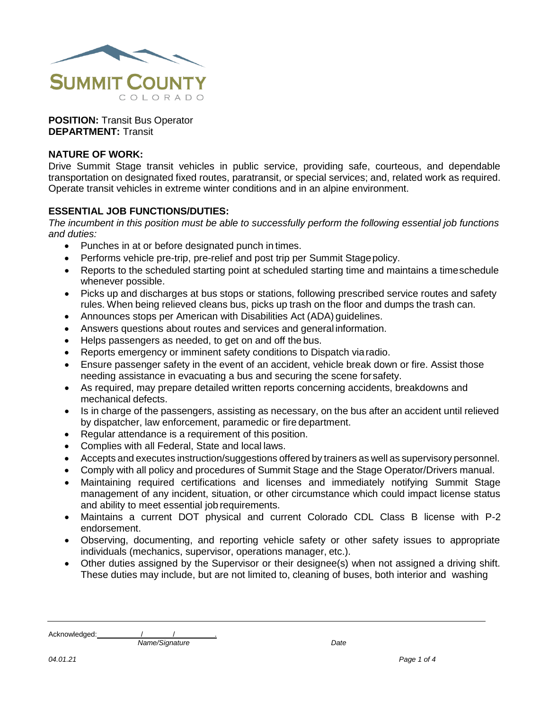

**POSITION:** Transit Bus Operator **DEPARTMENT:** Transit

### **NATURE OF WORK:**

Drive Summit Stage transit vehicles in public service, providing safe, courteous, and dependable transportation on designated fixed routes, paratransit, or special services; and, related work as required. Operate transit vehicles in extreme winter conditions and in an alpine environment.

### **ESSENTIAL JOB FUNCTIONS/DUTIES:**

*The incumbent in this position must be able to successfully perform the following essential job functions and duties:*

- Punches in at or before designated punch in times.
- Performs vehicle pre-trip, pre-relief and post trip per Summit Stagepolicy.
- Reports to the scheduled starting point at scheduled starting time and maintains a timeschedule whenever possible.
- Picks up and discharges at bus stops or stations, following prescribed service routes and safety rules. When being relieved cleans bus, picks up trash on the floor and dumps the trash can.
- Announces stops per American with Disabilities Act (ADA) guidelines.
- Answers questions about routes and services and general information.
- Helps passengers as needed, to get on and off the bus.
- Reports emergency or imminent safety conditions to Dispatch viaradio.
- Ensure passenger safety in the event of an accident, vehicle break down or fire. Assist those needing assistance in evacuating a bus and securing the scene forsafety.
- As required, may prepare detailed written reports concerning accidents, breakdowns and mechanical defects.
- Is in charge of the passengers, assisting as necessary, on the bus after an accident until relieved by dispatcher, law enforcement, paramedic or fire department.
- Regular attendance is a requirement of this position.
- Complies with all Federal, State and local laws.
- Accepts and executes instruction/suggestions offered by trainers as well as supervisory personnel.
- Comply with all policy and procedures of Summit Stage and the Stage Operator/Drivers manual.
- Maintaining required certifications and licenses and immediately notifying Summit Stage management of any incident, situation, or other circumstance which could impact license status and ability to meet essential job requirements.
- Maintains a current DOT physical and current Colorado CDL Class B license with P-2 endorsement.
- Observing, documenting, and reporting vehicle safety or other safety issues to appropriate individuals (mechanics, supervisor, operations manager, etc.).
- Other duties assigned by the Supervisor or their designee(s) when not assigned a driving shift. These duties may include, but are not limited to, cleaning of buses, both interior and washing

Acknowledged: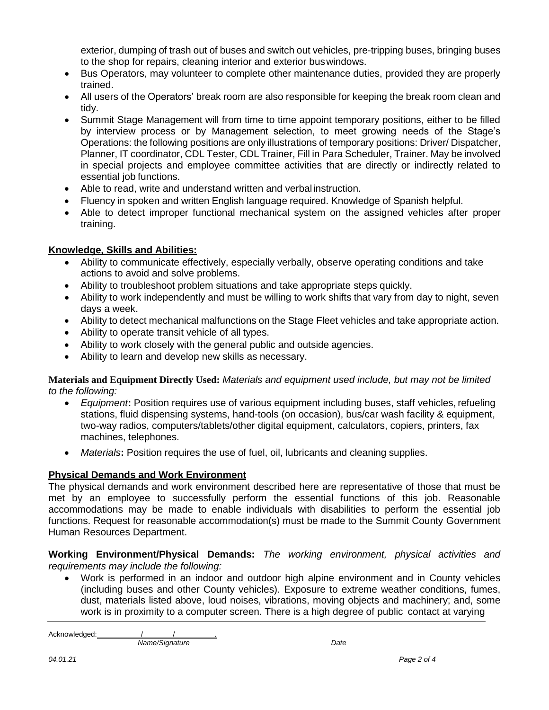exterior, dumping of trash out of buses and switch out vehicles, pre-tripping buses, bringing buses to the shop for repairs, cleaning interior and exterior buswindows.

- Bus Operators, may volunteer to complete other maintenance duties, provided they are properly trained.
- All users of the Operators' break room are also responsible for keeping the break room clean and tidy.
- Summit Stage Management will from time to time appoint temporary positions, either to be filled by interview process or by Management selection, to meet growing needs of the Stage's Operations: the following positions are only illustrations of temporary positions: Driver/ Dispatcher, Planner, IT coordinator, CDL Tester, CDL Trainer, Fill in Para Scheduler, Trainer. May be involved in special projects and employee committee activities that are directly or indirectly related to essential job functions.
- Able to read, write and understand written and verbal instruction.
- Fluency in spoken and written English language required. Knowledge of Spanish helpful.
- Able to detect improper functional mechanical system on the assigned vehicles after proper training.

## **Knowledge, Skills and Abilities:**

- Ability to communicate effectively, especially verbally, observe operating conditions and take actions to avoid and solve problems.
- Ability to troubleshoot problem situations and take appropriate steps quickly.
- Ability to work independently and must be willing to work shifts that vary from day to night, seven days a week.
- Ability to detect mechanical malfunctions on the Stage Fleet vehicles and take appropriate action.
- Ability to operate transit vehicle of all types.
- Ability to work closely with the general public and outside agencies.
- Ability to learn and develop new skills as necessary.

#### **Materials and Equipment Directly Used:** *Materials and equipment used include, but may not be limited to the following:*

- *Equipment***:** Position requires use of various equipment including buses, staff vehicles, refueling stations, fluid dispensing systems, hand-tools (on occasion), bus/car wash facility & equipment, two-way radios, computers/tablets/other digital equipment, calculators, copiers, printers, fax machines, telephones.
- *Materials***:** Position requires the use of fuel, oil, lubricants and cleaning supplies.

### **Physical Demands and Work Environment**

The physical demands and work environment described here are representative of those that must be met by an employee to successfully perform the essential functions of this job. Reasonable accommodations may be made to enable individuals with disabilities to perform the essential job functions. Request for reasonable accommodation(s) must be made to the Summit County Government Human Resources Department.

### **Working Environment/Physical Demands:** *The working environment, physical activities and requirements may include the following:*

 Work is performed in an indoor and outdoor high alpine environment and in County vehicles (including buses and other County vehicles). Exposure to extreme weather conditions, fumes, dust, materials listed above, loud noises, vibrations, moving objects and machinery; and, some work is in proximity to a computer screen. There is a high degree of public contact at varying

Acknowledged: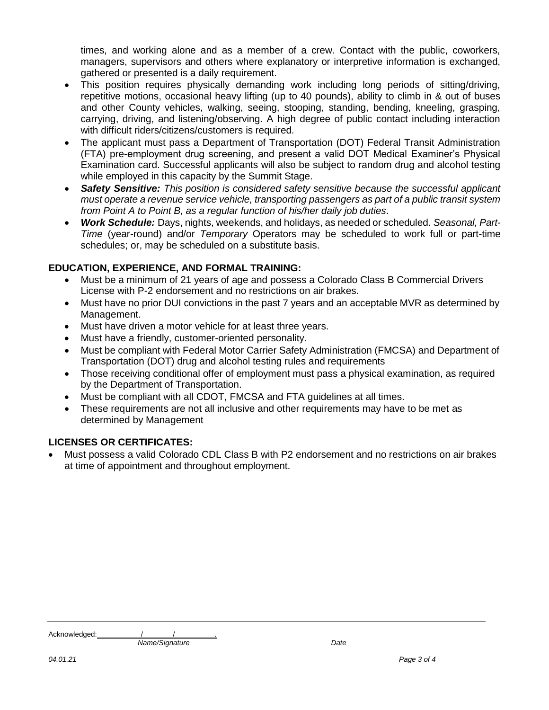times, and working alone and as a member of a crew. Contact with the public, coworkers, managers, supervisors and others where explanatory or interpretive information is exchanged, gathered or presented is a daily requirement.

- This position requires physically demanding work including long periods of sitting/driving, repetitive motions, occasional heavy lifting (up to 40 pounds), ability to climb in & out of buses and other County vehicles, walking, seeing, stooping, standing, bending, kneeling, grasping, carrying, driving, and listening/observing. A high degree of public contact including interaction with difficult riders/citizens/customers is required.
- The applicant must pass a Department of Transportation (DOT) Federal Transit Administration (FTA) pre-employment drug screening, and present a valid DOT Medical Examiner's Physical Examination card. Successful applicants will also be subject to random drug and alcohol testing while employed in this capacity by the Summit Stage.
- *Safety Sensitive: This position is considered safety sensitive because the successful applicant must operate a revenue service vehicle, transporting passengers as part of a public transit system from Point A to Point B, as a regular function of his/her daily job duties*.
- *Work Schedule:* Days, nights, weekends, and holidays, as needed or scheduled. *Seasonal, Part-Time* (year-round) and/or *Temporary* Operators may be scheduled to work full or part-time schedules; or, may be scheduled on a substitute basis.

# **EDUCATION, EXPERIENCE, AND FORMAL TRAINING:**

- Must be a minimum of 21 years of age and possess a Colorado Class B Commercial Drivers License with P-2 endorsement and no restrictions on air brakes.
- Must have no prior DUI convictions in the past 7 years and an acceptable MVR as determined by Management.
- Must have driven a motor vehicle for at least three years.
- Must have a friendly, customer-oriented personality.
- Must be compliant with Federal Motor Carrier Safety Administration (FMCSA) and Department of Transportation (DOT) drug and alcohol testing rules and requirements
- Those receiving conditional offer of employment must pass a physical examination, as required by the Department of Transportation.
- Must be compliant with all CDOT, FMCSA and FTA guidelines at all times.
- These requirements are not all inclusive and other requirements may have to be met as determined by Management

### **LICENSES OR CERTIFICATES:**

 Must possess a valid Colorado CDL Class B with P2 endorsement and no restrictions on air brakes at time of appointment and throughout employment.

Acknowledged: